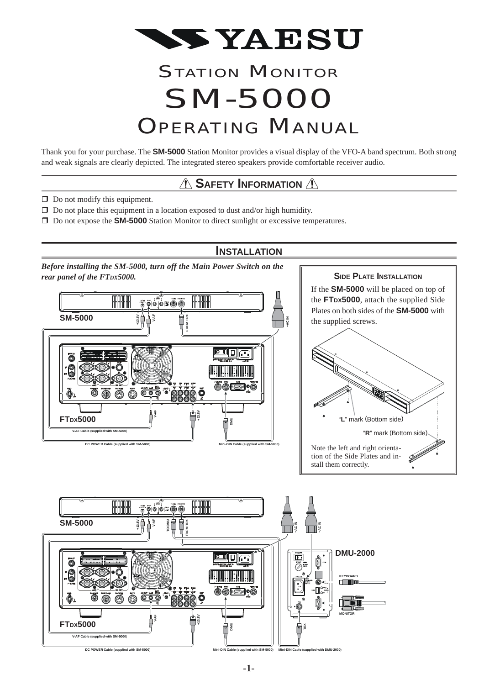

# **STATION MONITOR** SM-5000 **OPERATING MANUAL**

Thank you for your purchase. The **SM-5000** Station Monitor provides a visual display of the VFO-A band spectrum. Both strong and weak signals are clearly depicted. The integrated stereo speakers provide comfortable receiver audio.

# *A* SAFETY INFORMATION A

**INSTALLATION**

- $\Box$  Do not modify this equipment.
- $\Box$  Do not place this equipment in a location exposed to dust and/or high humidity.
- Do not expose the **SM-5000** Station Monitor to direct sunlight or excessive temperatures.





**-1-**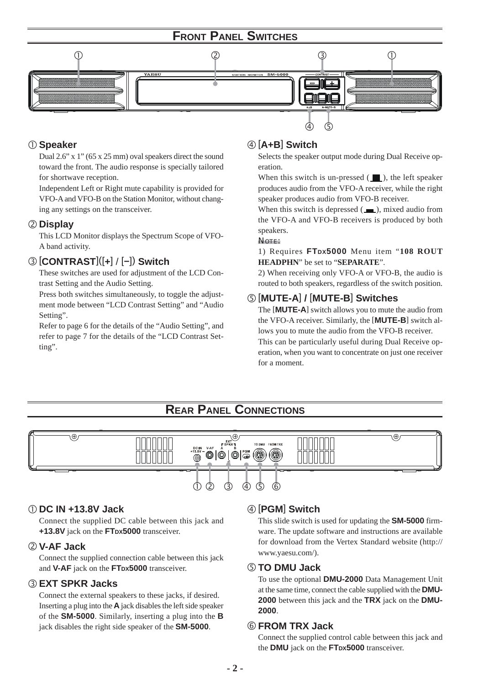# **FRONT PANEL SWITCHES**



### **Speaker**

Dual 2.6" x 1" (65 x 25 mm) oval speakers direct the sound toward the front. The audio response is specially tailored for shortwave reception.

Independent Left or Right mute capability is provided for VFO-A and VFO-B on the Station Monitor, without changing any settings on the transceiver.

### **Display**

This LCD Monitor displays the Spectrum Scope of VFO-A band activity.

### [**CONTRAST**]([**+**] / [**–**]) **Switch**

These switches are used for adjustment of the LCD Contrast Setting and the Audio Setting.

Press both switches simultaneously, to toggle the adjustment mode between "LCD Contrast Setting" and "Audio Setting".

Refer to page 6 for the details of the "Audio Setting", and refer to page 7 for the details of the "LCD Contrast Setting".

### [**A+B**] **Switch**

Selects the speaker output mode during Dual Receive operation.

When this switch is un-pressed  $(\blacksquare)$ , the left speaker produces audio from the VFO-A receiver, while the right speaker produces audio from VFO-B receiver.

When this switch is depressed  $(\_\_\_\)$ , mixed audio from the VFO-A and VFO-B receivers is produced by both speakers.

#### NOTE:

1) Requires **FTDX5000** Menu item "**108 ROUT HEADPHN**" be set to "**SEPARATE**".

2) When receiving only VFO-A or VFO-B, the audio is routed to both speakers, regardless of the switch position.

### [**MUTE-A**] **/** [**MUTE-B**] **Switches**

The [**MUTE-A**] switch allows you to mute the audio from the VFO-A receiver. Similarly, the [**MUTE-B**] switch allows you to mute the audio from the VFO-B receiver. This can be particularly useful during Dual Receive operation, when you want to concentrate on just one receiver for a moment.

# **REAR PANEL CONNECTIONS**



### **DC IN +13.8V Jack**

Connect the supplied DC cable between this jack and **+13.8V** jack on the **FTDX5000** transceiver.

### **V-AF Jack**

Connect the supplied connection cable between this jack and **V-AF** jack on the **FTDX5000** transceiver.

### **EXT SPKR Jacks**

Connect the external speakers to these jacks, if desired. Inserting a plug into the **A** jack disables the left side speaker of the **SM-5000**. Similarly, inserting a plug into the **B** jack disables the right side speaker of the **SM-5000**.

### [**PGM**] **Switch**

This slide switch is used for updating the **SM-5000** firmware. The update software and instructions are available for download from the Vertex Standard website (http:// www.yaesu.com/).

### **TO DMU Jack**

To use the optional **DMU-2000** Data Management Unit at the same time, connect the cable supplied with the **DMU-2000** between this jack and the **TRX** jack on the **DMU-2000**.

### **FROM TRX Jack**

Connect the supplied control cable between this jack and the **DMU** jack on the **FTDX5000** transceiver.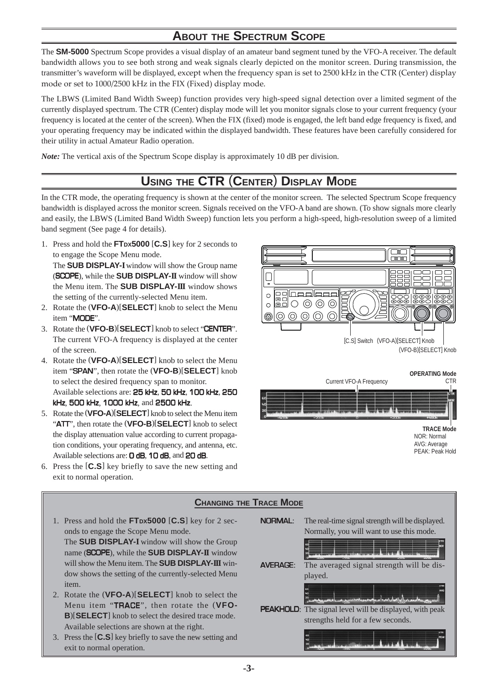# **ABOUT THE SPECTRUM SCOPE**

The **SM-5000** Spectrum Scope provides a visual display of an amateur band segment tuned by the VFO-A receiver. The default bandwidth allows you to see both strong and weak signals clearly depicted on the monitor screen. During transmission, the transmitter's waveform will be displayed, except when the frequency span is set to 2500 kHz in the CTR (Center) display mode or set to 1000/2500 kHz in the FIX (Fixed) display mode.

The LBWS (Limited Band Width Sweep) function provides very high-speed signal detection over a limited segment of the currently displayed spectrum. The CTR (Center) display mode will let you monitor signals close to your current frequency (your frequency is located at the center of the screen). When the FIX (fixed) mode is engaged, the left band edge frequency is fixed, and your operating frequency may be indicated within the displayed bandwidth. These features have been carefully considered for their utility in actual Amateur Radio operation.

*Note:* The vertical axis of the Spectrum Scope display is approximately 10 dB per division.

# **USING THE CTR** (**CENTER**) **DISPLAY MODE**

In the CTR mode, the operating frequency is shown at the center of the monitor screen. The selected Spectrum Scope frequency bandwidth is displayed across the monitor screen. Signals received on the VFO-A band are shown. (To show signals more clearly and easily, the LBWS (Limited Band Width Sweep) function lets you perform a high-speed, high-resolution sweep of a limited band segment (See page 4 for details).

1. Press and hold the **FTDX5000** [**C.S**] key for 2 seconds to to engage the Scope Menu mode.

The **SUB DISPLAY-I** window will show the Group name (SCOPE), while the **SUB DISPLAY-II** window will show the Menu item. The **SUB DISPLAY-III** window shows the setting of the currently-selected Menu item.

- 2. Rotate the (**VFO-A**)[**SELECT**] knob to select the Menu item "MODE".
- 3. Rotate the (**VFO-B**)[**SELECT**] knob to select "CENTER". The current VFO-A frequency is displayed at the center of the screen.
- 4. Rotate the (**VFO-A**)[**SELECT**] knob to select the Menu item "SPAN", then rotate the (**VFO-B**)[**SELECT**] knob to select the desired frequency span to monitor. Available selections are: 25 kHz, 50 kHz, 100 kHz, 250 kHz, 500 kHz, 1000 kHz, and 2500 kHz.
- 5. Rotate the (**VFO-A**)[**SELECT**] knob to select the Menu item "ATT", then rotate the (**VFO-B**)[**SELECT**] knob to select the display attenuation value according to current propagation conditions, your operating frequency, and antenna, etc. Available selections are: **O dB, 10 dB**, and 20 dB.
- 6. Press the [**C.S**] key briefly to save the new setting and exit to normal operation.





### **CHANGING THE TRACE MODE**

1. Press and hold the **FTDX5000** [**C.S**] key for 2 seconds to engage the Scope Menu mode. The **SUB DISPLAY-I** window will show the Group

name (SCOPE), while the **SUB DISPLAY-II** window will show the Menu item. The **SUB DISPLAY-III** window shows the setting of the currently-selected Menu item.

- 2. Rotate the (**VFO-A**)[**SELECT**] knob to select the Menu item "TRACE", then rotate the (**VFO-B**)[**SELECT**] knob to select the desired trace mode. Available selections are shown at the right.
- 3. Press the [**C.S**] key briefly to save the new setting and exit to normal operation.

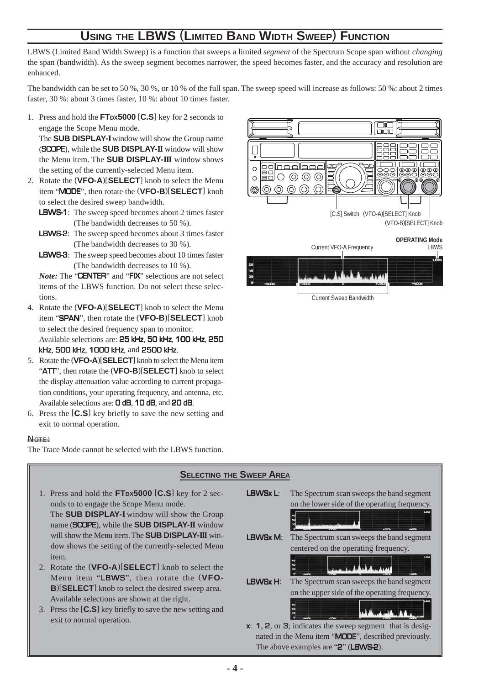# **USING THE LBWS** (**LIMITED BAND WIDTH SWEEP**) **FUNCTION**

LBWS (Limited Band Width Sweep) is a function that sweeps a limited *segment* of the Spectrum Scope span without *changing* the span (bandwidth). As the sweep segment becomes narrower, the speed becomes faster, and the accuracy and resolution are enhanced.

The bandwidth can be set to 50 %, 30 %, or 10 % of the full span. The sweep speed will increase as follows: 50 %: about 2 times faster, 30 %: about 3 times faster, 10 %: about 10 times faster.

1. Press and hold the **FTDX5000** [**C.S**] key for 2 seconds to engage the Scope Menu mode.

The **SUB DISPLAY-I** window will show the Group name (SCOPE), while the **SUB DISPLAY-II** window will show the Menu item. The **SUB DISPLAY-III** window shows the setting of the currently-selected Menu item.

- 2. Rotate the (**VFO-A**)[**SELECT**] knob to select the Menu item "MODE", then rotate the (**VFO-B**)[**SELECT**] knob to select the desired sweep bandwidth.
	- LBWS-1: The sweep speed becomes about 2 times faster (The bandwidth decreases to 50 %).
	- LBWS-2: The sweep speed becomes about 3 times faster (The bandwidth decreases to 30 %).
	- LBWS-3: The sweep speed becomes about 10 times faster (The bandwidth decreases to 10 %).

*Note:* The "**CENTER**" and "FIX" selections are not select items of the LBWS function. Do not select these selections.

- 4. Rotate the (**VFO-A**)[**SELECT**] knob to select the Menu item "SPAN", then rotate the (**VFO-B**)[**SELECT**] knob to select the desired frequency span to monitor. Available selections are: 25 kHz, 50 kHz, 100 kHz, 250 kHz, 500 kHz, 1000 kHz, and 2500 kHz.
- 5. Rotate the (**VFO-A**)[**SELECT**] knob to select the Menu item "ATT", then rotate the (**VFO-B**)[**SELECT**] knob to select the display attenuation value according to current propagation conditions, your operating frequency, and antenna, etc. Available selections are: 0 dB, 10 dB, and 20 dB.
- 6. Press the [**C.S**] key briefly to save the new setting and exit to normal operation.

#### NOTE:

The Trace Mode cannot be selected with the LBWS function.







1. Press and hold the **FTDX5000** [**C.S**] key for 2 seconds to to engage the Scope Menu mode. The **SUB DISPLAY-I** window will show the Group

name (SCOPE), while the **SUB DISPLAY-II** window will show the Menu item. The **SUB DISPLAY-III** window shows the setting of the currently-selected Menu item.

- 2. Rotate the (**VFO-A**)[**SELECT**] knob to select the Menu item "LBWS", then rotate the (**VFO-B**)[**SELECT**] knob to select the desired sweep area. Available selections are shown at the right.
- 3. Press the [**C.S**] key briefly to save the new setting and exit to normal operation.

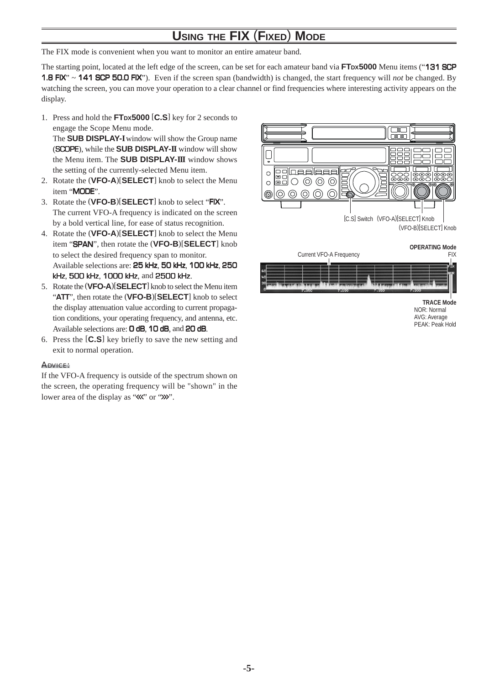# **USING THE FIX** (**FIXED**) **MODE**

The FIX mode is convenient when you want to monitor an entire amateur band.

The starting point, located at the left edge of the screen, can be set for each amateur band via FTDX5000 Menu items ("131 SCP 1.8 FIX" ~ 141 SCP 50.0 FIX"). Even if the screen span (bandwidth) is changed, the start frequency will *not* be changed. By watching the screen, you can move your operation to a clear channel or find frequencies where interesting activity appears on the display.

1. Press and hold the **FTDX5000** [**C.S**] key for 2 seconds to engage the Scope Menu mode.

The **SUB DISPLAY-I** window will show the Group name (SCOPE), while the **SUB DISPLAY-II** window will show the Menu item. The **SUB DISPLAY-III** window shows the setting of the currently-selected Menu item.

- 2. Rotate the (**VFO-A**)[**SELECT**] knob to select the Menu item "MODE".
- 3. Rotate the (**VFO-B**)[**SELECT**] knob to select "FIX". The current VFO-A frequency is indicated on the screen by a bold vertical line, for ease of status recognition.
- 4. Rotate the (**VFO-A**)[**SELECT**] knob to select the Menu item "SPAN", then rotate the (**VFO-B**)[**SELECT**] knob to select the desired frequency span to monitor. Available selections are: 25 kHz, 50 kHz, 100 kHz, 250 kHz, 500 kHz, 1000 kHz, and 2500 kHz.
- 5. Rotate the (**VFO-A**)[**SELECT**] knob to select the Menu item "ATT", then rotate the (**VFO-B**)[**SELECT**] knob to select the display attenuation value according to current propagation conditions, your operating frequency, and antenna, etc. Available selections are: O dB, 10 dB, and 20 dB.
- 6. Press the [**C.S**] key briefly to save the new setting and exit to normal operation.

#### ADVICE:

If the VFO-A frequency is outside of the spectrum shown on the screen, the operating frequency will be "shown" in the lower area of the display as " $\langle \langle \cdot \rangle$ " or " $\rangle \rangle$ ".





**TRACE Mode** NOR: Normal AVG: Average PEAK: Peak Hold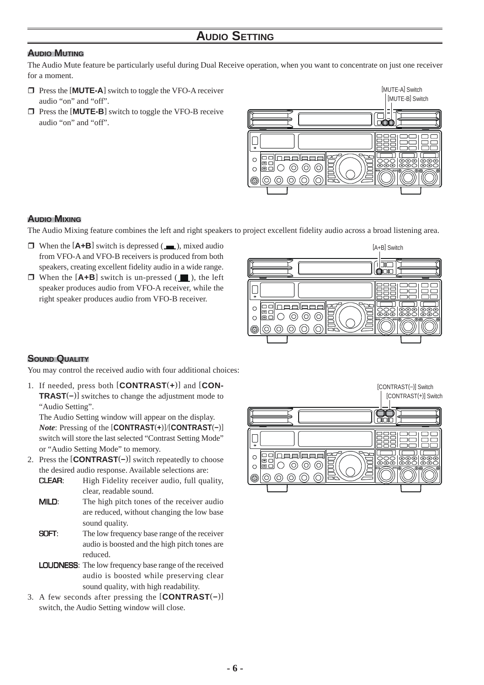### **AUDIO MUTING**

The Audio Mute feature be particularly useful during Dual Receive operation, when you want to concentrate on just one receiver for a moment.

- **T** Press the [**MUTE-A**] switch to toggle the VFO-A receiver audio "on" and "off".
- $\Box$  Press the [**MUTE-B**] switch to toggle the VFO-B receive audio "on" and "off".



### **AUDIO MIXING**

The Audio Mixing feature combines the left and right speakers to project excellent fidelity audio across a broad listening area.

- $\Box$  When the  $[{\bf A+B}]$  switch is depressed ( $\Box$ ), mixed audio from VFO-A and VFO-B receivers is produced from both speakers, creating excellent fidelity audio in a wide range.
- $\Box$  When the  $[A+B]$  switch is un-pressed  $(\Box)$ , the left speaker produces audio from VFO-A receiver, while the right speaker produces audio from VFO-B receiver.



### **SOUND QUALITY**

You may control the received audio with four additional choices:

1. If needed, press both [**CONTRAST**(**+**)] and [**CON-TRAST**(**–**)] switches to change the adjustment mode to "Audio Setting".

The Audio Setting window will appear on the display. *Note*: Pressing of the [**CONTRAST**(**+**)]/[**CONTRAST**(**–**)] switch will store the last selected "Contrast Setting Mode" or "Audio Setting Mode" to memory.

- 2. Press the [**CONTRAST**(**–**)] switch repeatedly to choose the desired audio response. Available selections are:
	- CLEAR: High Fidelity receiver audio, full quality, clear, readable sound.
	- **MILD:** The high pitch tones of the receiver audio are reduced, without changing the low base sound quality.
	- **SOFT:** The low frequency base range of the receiver audio is boosted and the high pitch tones are reduced.
	- LOUDNESS: The low frequency base range of the received audio is boosted while preserving clear sound quality, with high readability.
- 3. A few seconds after pressing the [**CONTRAST**(**–**)] switch, the Audio Setting window will close.

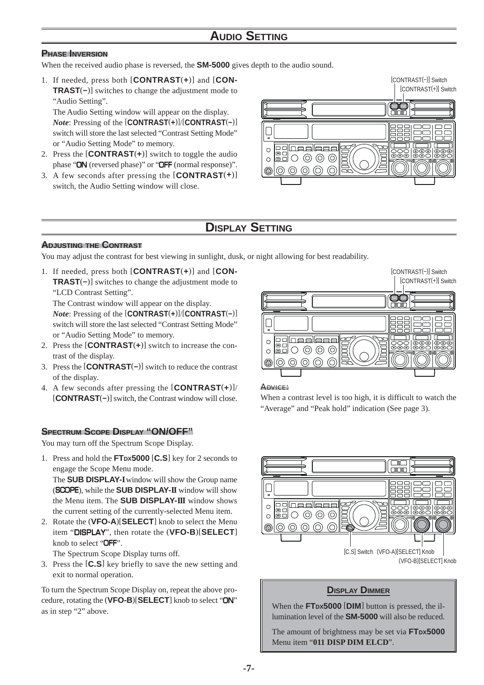### **AUDIO SETTING**

### **PHASE INVERSION**

When the received audio phase is reversed, the **SM-5000** gives depth to the audio sound.

1. If needed, press both [**CONTRAST**(**+**)] and [**CON-TRAST**(**–**)] switches to change the adjustment mode to "Audio Setting".

The Audio Setting window will appear on the display. *Note*: Pressing of the [**CONTRAST**(**+**)]/[**CONTRAST**(**–**)] switch will store the last selected "Contrast Setting Mode" or "Audio Setting Mode" to memory.

- 2. Press the [**CONTRAST**(**+**)] switch to toggle the audio phase "ON (reversed phase)" or "OFF (normal response)".
- 3. A few seconds after pressing the [**CONTRAST**(**+**)] switch, the Audio Setting window will close.



### **DISPLAY SETTING**

### **ADJUSTING THE CONTRAST**

You may adjust the contrast for best viewing in sunlight, dusk, or night allowing for best readability.

1. If needed, press both [**CONTRAST**(**+**)] and [**CON-TRAST**(**–**)] switches to change the adjustment mode to "LCD Contrast Setting".

The Contrast window will appear on the display. *Note*: Pressing of the [**CONTRAST**(**+**)]/[**CONTRAST**(**–**)] switch will store the last selected "Contrast Setting Mode" or "Audio Setting Mode" to memory.

- 2. Press the [**CONTRAST**(**+**)] switch to increase the contrast of the display.
- 3. Press the [**CONTRAST**(**–**)] switch to reduce the contrast of the display.
- 4. A few seconds after pressing the [**CONTRAST**(**+**)]/ [**CONTRAST**(**–**)] switch, the Contrast window will close.

### **SPECTRUM SCOPE DISPLAY "ON/OFF"**

You may turn off the Spectrum Scope Display.

1. Press and hold the **FTDX5000** [**C.S**] key for 2 seconds to engage the Scope Menu mode.

The **SUB DISPLAY-I** window will show the Group name (SCOPE), while the **SUB DISPLAY-II** window will show the Menu item. The **SUB DISPLAY-III** window shows the current setting of the currently-selected Menu item.

2. Rotate the (**VFO-A**)[**SELECT**] knob to select the Menu item "DISPLAY", then rotate the (**VFO-B**)[**SELECT**] knob to select "OFF".

The Spectrum Scope Display turns off.

3. Press the [**C.S**] key briefly to save the new setting and exit to normal operation.

To turn the Spectrum Scope Display on, repeat the above procedure, rotating the (**VFO-B**)[**SELECT**] knob to select "ON" as in step "2" above.



#### ADVICE:

When a contrast level is too high, it is difficult to watch the "Average" and "Peak hold" indication (See page 3).



### **DISPLAY DIMMER**

When the **FTDX5000** [**DIM**] button is pressed, the illumination level of the **SM-5000** will also be reduced.

The amount of brightness may be set via **FTDX5000** Menu item "**011 DISP DIM ELCD**".